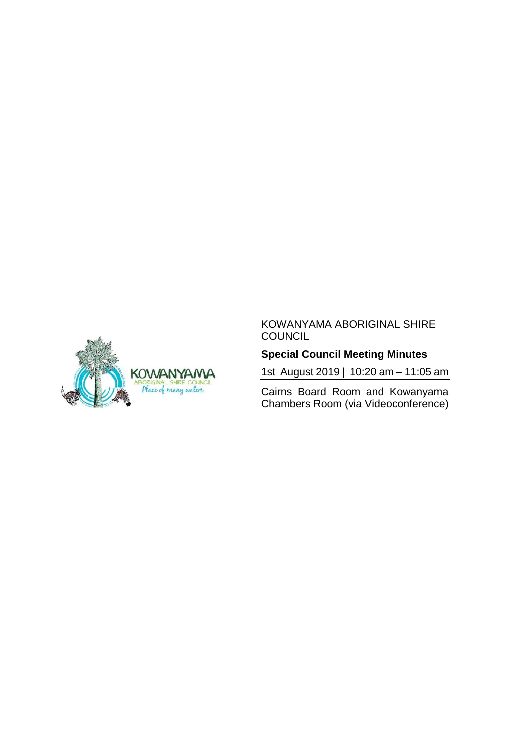#### KOWANYAMA ABORIGINAL SHIRE **COUNCIL**

# **Special Council Meeting Minutes**

1st August 2019 | 10:20 am – 11:05 am

Cairns Board Room and Kowanyama Chambers Room (via Videoconference)

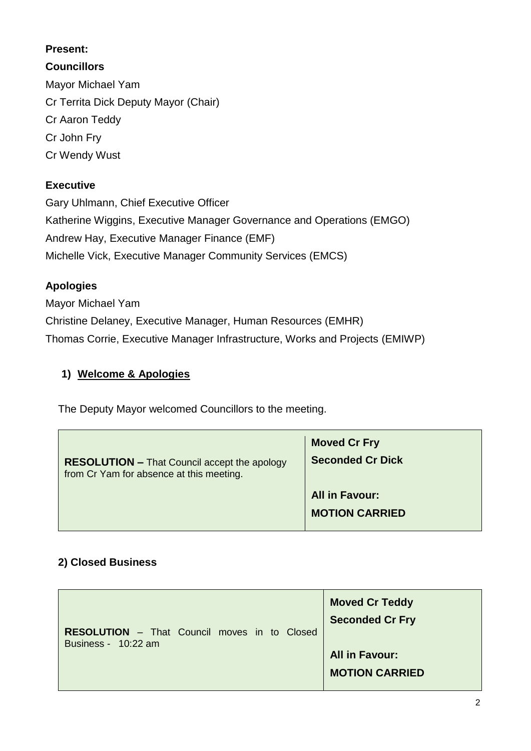#### **Present:**

**Councillors** Mayor Michael Yam Cr Territa Dick Deputy Mayor (Chair) Cr Aaron Teddy Cr John Fry Cr Wendy Wust

## **Executive**

Gary Uhlmann, Chief Executive Officer Katherine Wiggins, Executive Manager Governance and Operations (EMGO) Andrew Hay, Executive Manager Finance (EMF) Michelle Vick, Executive Manager Community Services (EMCS)

### **Apologies**

Mayor Michael Yam Christine Delaney, Executive Manager, Human Resources (EMHR) Thomas Corrie, Executive Manager Infrastructure, Works and Projects (EMIWP)

### **1) Welcome & Apologies**

The Deputy Mayor welcomed Councillors to the meeting.

| <b>RESOLUTION – That Council accept the apology</b> | <b>Moved Cr Fry</b>                            |
|-----------------------------------------------------|------------------------------------------------|
| from Cr Yam for absence at this meeting.            | <b>Seconded Cr Dick</b>                        |
|                                                     | <b>All in Favour:</b><br><b>MOTION CARRIED</b> |

# **2) Closed Business**

| <b>RESOLUTION</b> - That Council moves in to Closed | <b>Moved Cr Teddy</b>                          |
|-----------------------------------------------------|------------------------------------------------|
| Business - 10:22 am                                 | <b>Seconded Cr Fry</b>                         |
|                                                     | <b>All in Favour:</b><br><b>MOTION CARRIED</b> |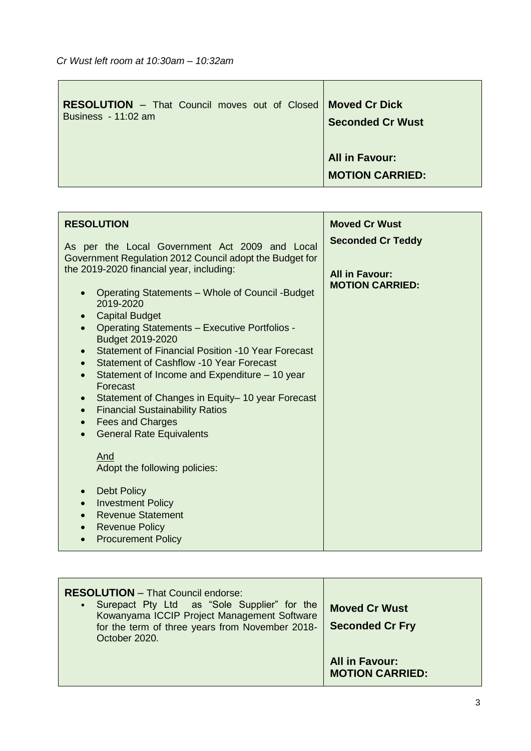| <b>RESOLUTION</b> - That Council moves out of Closed   Moved Cr Dick<br>Business - 11:02 am | <b>Seconded Cr Wust</b>                         |
|---------------------------------------------------------------------------------------------|-------------------------------------------------|
|                                                                                             | <b>All in Favour:</b><br><b>MOTION CARRIED:</b> |

| <b>RESOLUTION</b>                                                                                                                                                                                                                                                                                                                                                                                                                                                                                                                                                                                                                          | <b>Moved Cr Wust</b>                              |
|--------------------------------------------------------------------------------------------------------------------------------------------------------------------------------------------------------------------------------------------------------------------------------------------------------------------------------------------------------------------------------------------------------------------------------------------------------------------------------------------------------------------------------------------------------------------------------------------------------------------------------------------|---------------------------------------------------|
| As per the Local Government Act 2009 and Local<br>Government Regulation 2012 Council adopt the Budget for<br>the 2019-2020 financial year, including:                                                                                                                                                                                                                                                                                                                                                                                                                                                                                      | <b>Seconded Cr Teddy</b><br><b>All in Favour:</b> |
| Operating Statements - Whole of Council - Budget<br>$\bullet$<br>2019-2020<br><b>Capital Budget</b><br>$\bullet$<br><b>Operating Statements - Executive Portfolios -</b><br>$\bullet$<br>Budget 2019-2020<br><b>Statement of Financial Position -10 Year Forecast</b><br>$\bullet$<br><b>Statement of Cashflow -10 Year Forecast</b><br>$\bullet$<br>Statement of Income and Expenditure – 10 year<br>$\bullet$<br>Forecast<br>Statement of Changes in Equity-10 year Forecast<br>$\bullet$<br><b>Financial Sustainability Ratios</b><br>$\bullet$<br><b>Fees and Charges</b><br>$\bullet$<br><b>General Rate Equivalents</b><br>$\bullet$ | <b>MOTION CARRIED:</b>                            |
| And<br>Adopt the following policies:<br><b>Debt Policy</b><br>$\bullet$<br><b>Investment Policy</b><br>$\bullet$<br><b>Revenue Statement</b><br>$\bullet$<br><b>Revenue Policy</b><br>$\bullet$<br><b>Procurement Policy</b>                                                                                                                                                                                                                                                                                                                                                                                                               |                                                   |

| <b>RESOLUTION</b> - That Council endorse:<br>Surepact Pty Ltd as "Sole Supplier" for the<br>$\bullet$<br>Kowanyama ICCIP Project Management Software<br>for the term of three years from November 2018-<br>October 2020. | <b>Moved Cr Wust</b><br><b>Seconded Cr Fry</b>  |
|--------------------------------------------------------------------------------------------------------------------------------------------------------------------------------------------------------------------------|-------------------------------------------------|
|                                                                                                                                                                                                                          | <b>All in Favour:</b><br><b>MOTION CARRIED:</b> |

÷,